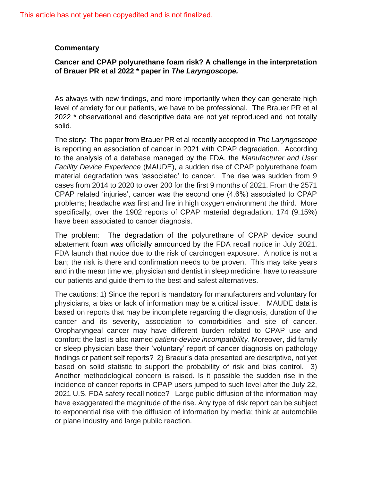This article has not yet been copyedited and is not finalized.

## **Commentary**

## **Cancer and CPAP polyurethane foam risk? A challenge in the interpretation of Brauer PR et al 2022 \* paper in** *The Laryngoscope.*

As always with new findings, and more importantly when they can generate high level of anxiety for our patients, we have to be professional. The Brauer PR et al 2022 \* observational and descriptive data are not yet reproduced and not totally solid.

The story: The paper from Brauer PR et al recently accepted in *The Laryngoscope* is reporting an association of cancer in 2021 with CPAP degradation. According to the analysis of a database managed by the FDA, the *Manufacturer and User Facility Device Experience* (MAUDE), a sudden rise of CPAP polyurethane foam material degradation was 'associated' to cancer. The rise was sudden from 9 cases from 2014 to 2020 to over 200 for the first 9 months of 2021. From the 2571 CPAP related 'injuries', cancer was the second one (4.6%) associated to CPAP problems; headache was first and fire in high oxygen environment the third. More specifically, over the 1902 reports of CPAP material degradation, 174 (9.15%) have been associated to cancer diagnosis.

The problem: The degradation of the polyurethane of CPAP device sound abatement foam was officially announced by the FDA recall notice in July 2021. FDA launch that notice due to the risk of carcinogen exposure. A notice is not a ban; the risk is there and confirmation needs to be proven. This may take years and in the mean time we, physician and dentist in sleep medicine, have to reassure our patients and guide them to the best and safest alternatives.

The cautions: 1) Since the report is mandatory for manufacturers and voluntary for physicians, a bias or lack of information may be a critical issue. MAUDE data is based on reports that may be incomplete regarding the diagnosis, duration of the cancer and its severity, association to comorbidities and site of cancer. Oropharyngeal cancer may have different burden related to CPAP use and comfort; the last is also named *patient-device incompatibility*. Moreover, did family or sleep physician base their 'voluntary' report of cancer diagnosis on pathology findings or patient self reports? 2) Braeur's data presented are descriptive, not yet based on solid statistic to support the probability of risk and bias control. 3) Another methodological concern is raised. Is it possible the sudden rise in the incidence of cancer reports in CPAP users jumped to such level after the July 22, 2021 U.S. FDA safety recall notice? Large public diffusion of the information may have exaggerated the magnitude of the rise. Any type of risk report can be subject to exponential rise with the diffusion of information by media; think at automobile or plane industry and large public reaction.